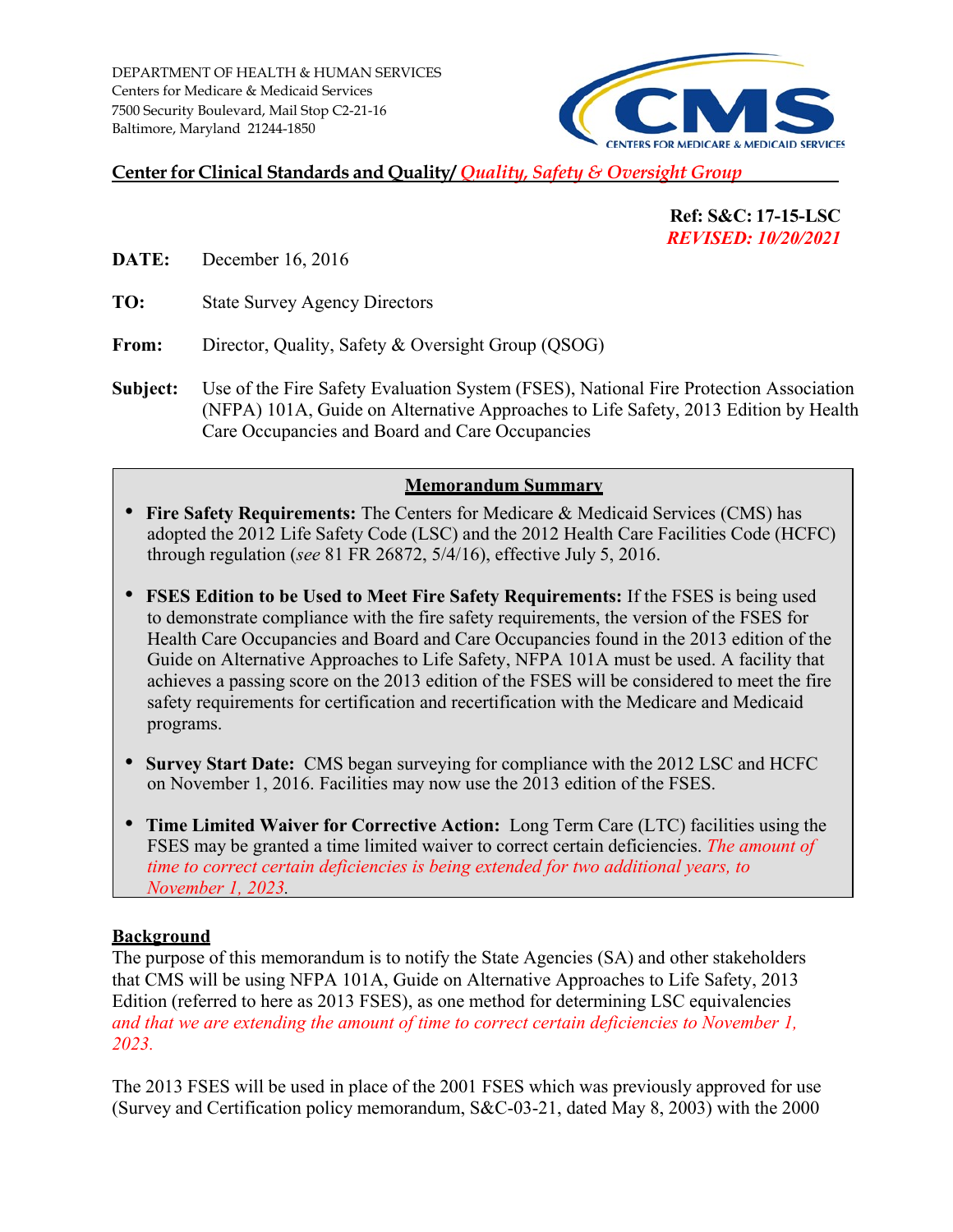

# **Center for Clinical Standards and Quality/** *Quality, Safety & Oversight Group*

 **Ref: S&C: 17-15-LSC**  *REVISED: 10/20/2021* 

**DATE:** December 16, 2016

**TO:** State Survey Agency Directors

From: Director, Quality, Safety & Oversight Group (QSOG)

 (NFPA) 101A, Guide on Alternative Approaches to Life S afety, 2013 Edition by Health **Subject:** Use of the Fire Safety Evaluation System (FSES), Nationa l Fire Protection Association Care Occupancies and Board and Care Occupancies

#### **Memorandum Summary**

- adopted the 2012 Life Safety Code (LSC) and the 2012 Health Care Facilities Code (HCFC) through regulation (*see* 81 FR 26872, 5/4/16), effective July 5, 2016. • **Fire Safety Requirements:** The Centers for Medicare & Medicaid Services (CMS) has
- Guide on Alternative Approaches to Life Safety, NFPA 101A must be used. A facility that achieves a passing score on the 2013 edition of the FSES will be considered to meet the fire • **FSES Edition to be Used to Meet Fire Safety Requirements:** If the FSES is being used to demonstrate compliance with the fire safety requirements, the version of the FSES for Health Care Occupancies and Board and Care Occupancies found in the 2013 edition of the safety requirements for certification and recertification with the Medicare and Medicaid programs.
- **Survey Start Date:** CMS began surveying for compliance with the 2012 LSC and HCFC on November 1, 2016. Facilities may now use the 2013 edition of the FSES.
- **Time Limited Waiver for Corrective Action:** Long Term Care (LTC) facilities using the FSES may be granted a time limited waiver to correct certain deficiencies. *The amount of time to correct certain deficiencies is being extended for two additional years, to November 1, 2023.*

#### **Background**

 The purpose of this memorandum is to notify the State Agencies (SA) and other stakeholders that CMS will be using NFPA 101A, Guide on Alternative Approaches to Life Safety, 2013 Edition (referred to here as 2013 FSES), as one method for determining LSC equivalencies *and that we are extending the amount of time to correct certain deficiencies to November 1, 2023.* 

 The 2013 FSES will be used in place of the 2001 FSES which was previously approved for use (Survey and Certification policy memorandum, S&C-03-21, dated May 8, 2003) with the 2000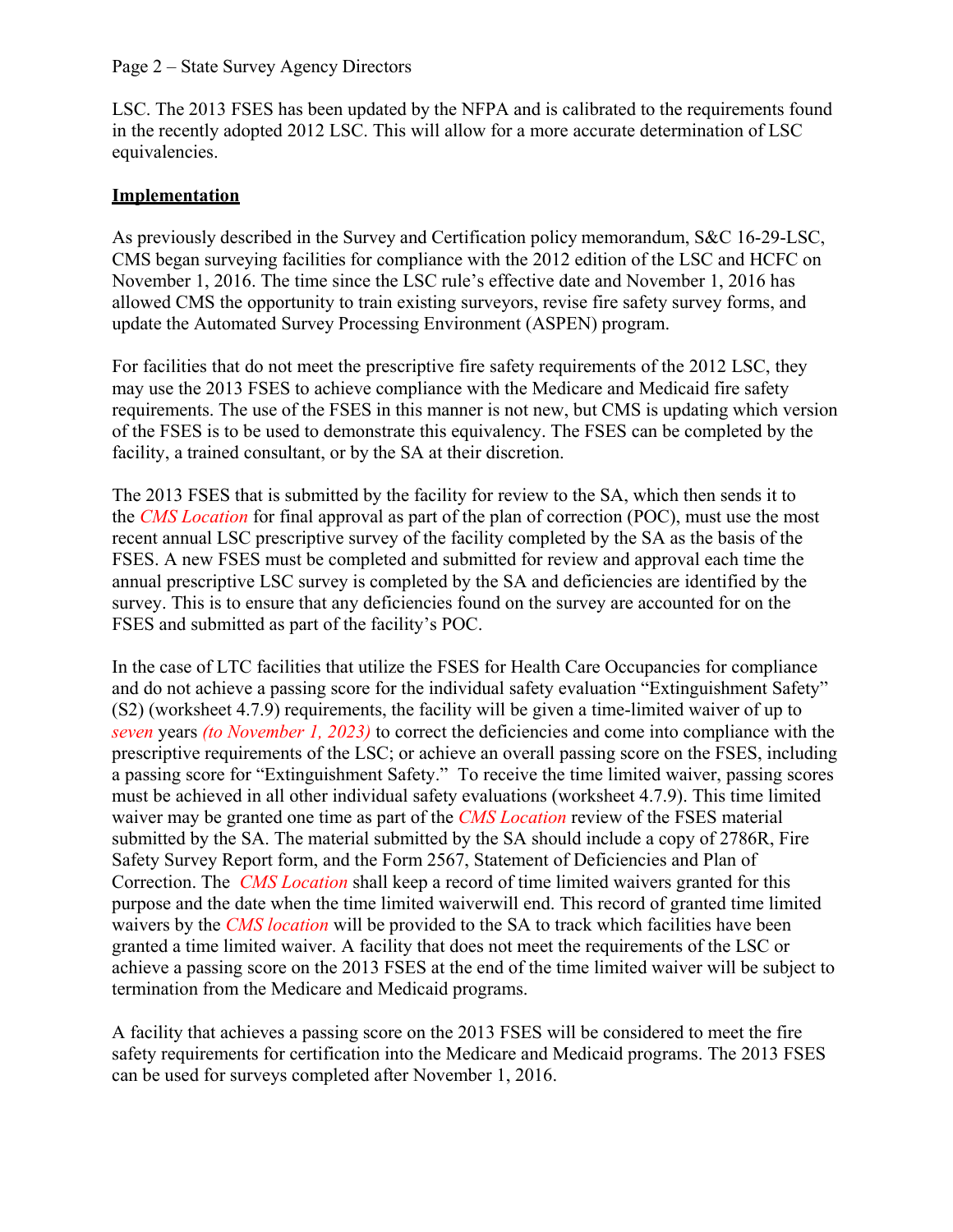LSC. The 2013 FSES has been updated by the NFPA and is calibrated to the requirements found in the recently adopted 2012 LSC. This will allow for a more accurate determination of LSC equivalencies.

# **Implementation**

 As previously described in the Survey and Certification policy memorandum, S&C 16-29-LSC, update the Automated Survey Processing Environment (ASPEN) program. CMS began surveying facilities for compliance with the 2012 edition of the LSC and HCFC on November 1, 2016. The time since the LSC rule's effective date and November 1, 2016 has allowed CMS the opportunity to train existing surveyors, revise fire safety survey forms, and

 For facilities that do not meet the prescriptive fire safety requirements of the 2012 LSC, they requirements. The use of the FSES in this manner is not new, but CMS is updating which version facility, a trained consultant, or by the SA at their discretion. may use the 2013 FSES to achieve compliance with the Medicare and Medicaid fire safety of the FSES is to be used to demonstrate this equivalency. The FSES can be completed by the

 the *CMS Location* for final approval as part of the plan of correction (POC), must use the most recent annual LSC prescriptive survey of the facility completed by the SA as the basis of the FSES. A new FSES must be completed and submitted for review and approval each time the FSES and submitted as part of the facility's POC. The 2013 FSES that is submitted by the facility for review to the SA, which then sends it to annual prescriptive LSC survey is completed by the SA and deficiencies are identified by the survey. This is to ensure that any deficiencies found on the survey are accounted for on the

 a passing score for "Extinguishment Safety." To receive the time limited waiver, passing scores must be achieved in all other individual safety evaluations (worksheet 4.7.9). This time limited waiver may be granted one time as part of the *CMS Location* review of the FSES material purpose and the date when the time limited waiverwill end. This record of granted time limited achieve a passing score on the 2013 FSES at the end of the time limited waiver will be subject to termination from the Medicare and Medicaid programs. In the case of LTC facilities that utilize the FSES for Health Care Occupancies for compliance and do not achieve a passing score for the individual safety evaluation "Extinguishment Safety" (S2) (worksheet 4.7.9) requirements, the facility will be given a time-limited waiver of up to *seven* years *(to November 1, 2023)* to correct the deficiencies and come into compliance with the prescriptive requirements of the LSC; or achieve an overall passing score on the FSES, including submitted by the SA. The material submitted by the SA should include a copy of 2786R, Fire Safety Survey Report form, and the Form 2567, Statement of Deficiencies and Plan of Correction. The *CMS Location* shall keep a record of time limited waivers granted for this waivers by the *CMS location* will be provided to the SA to track which facilities have been granted a time limited waiver. A facility that does not meet the requirements of the LSC or

 can be used for surveys completed after November 1, 2016. A facility that achieves a passing score on the 2013 FSES will be considered to meet the fire safety requirements for certification into the Medicare and Medicaid programs. The 2013 FSES